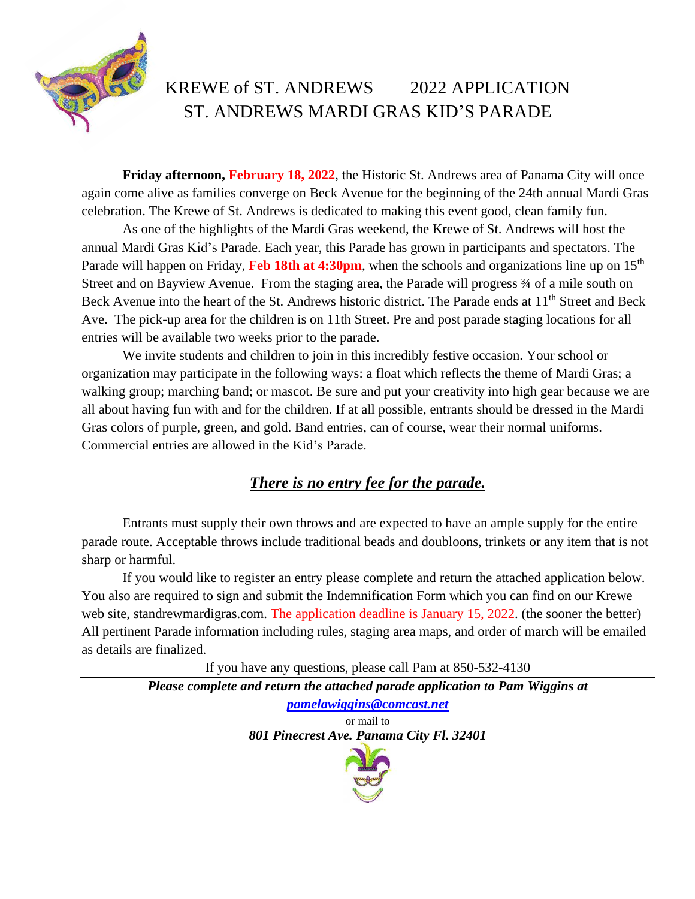

## KREWE of ST. ANDREWS 2022 APPLICATION ST. ANDREWS MARDI GRAS KID'S PARADE

**Friday afternoon, February 18, 2022**, the Historic St. Andrews area of Panama City will once again come alive as families converge on Beck Avenue for the beginning of the 24th annual Mardi Gras celebration. The Krewe of St. Andrews is dedicated to making this event good, clean family fun.

As one of the highlights of the Mardi Gras weekend, the Krewe of St. Andrews will host the annual Mardi Gras Kid's Parade. Each year, this Parade has grown in participants and spectators. The Parade will happen on Friday, **Feb 18th at 4:30pm**, when the schools and organizations line up on 15<sup>th</sup> Street and on Bayview Avenue. From the staging area, the Parade will progress  $\frac{3}{4}$  of a mile south on Beck Avenue into the heart of the St. Andrews historic district. The Parade ends at 11<sup>th</sup> Street and Beck Ave. The pick-up area for the children is on 11th Street. Pre and post parade staging locations for all entries will be available two weeks prior to the parade.

We invite students and children to join in this incredibly festive occasion. Your school or organization may participate in the following ways: a float which reflects the theme of Mardi Gras; a walking group; marching band; or mascot. Be sure and put your creativity into high gear because we are all about having fun with and for the children. If at all possible, entrants should be dressed in the Mardi Gras colors of purple, green, and gold. Band entries, can of course, wear their normal uniforms. Commercial entries are allowed in the Kid's Parade.

## *There is no entry fee for the parade.*

Entrants must supply their own throws and are expected to have an ample supply for the entire parade route. Acceptable throws include traditional beads and doubloons, trinkets or any item that is not sharp or harmful.

If you would like to register an entry please complete and return the attached application below. You also are required to sign and submit the Indemnification Form which you can find on our Krewe web site, standrewmardigras.com. The application deadline is January 15, 2022. (the sooner the better) All pertinent Parade information including rules, staging area maps, and order of march will be emailed as details are finalized.

If you have any questions, please call Pam at 850-532-4130

*Please complete and return the attached parade application to Pam Wiggins at [pamelawiggins@comcast.net](mailto:pamelawiggins@comcast.net)* or mail to *801 Pinecrest Ave. Panama City Fl. 32401*